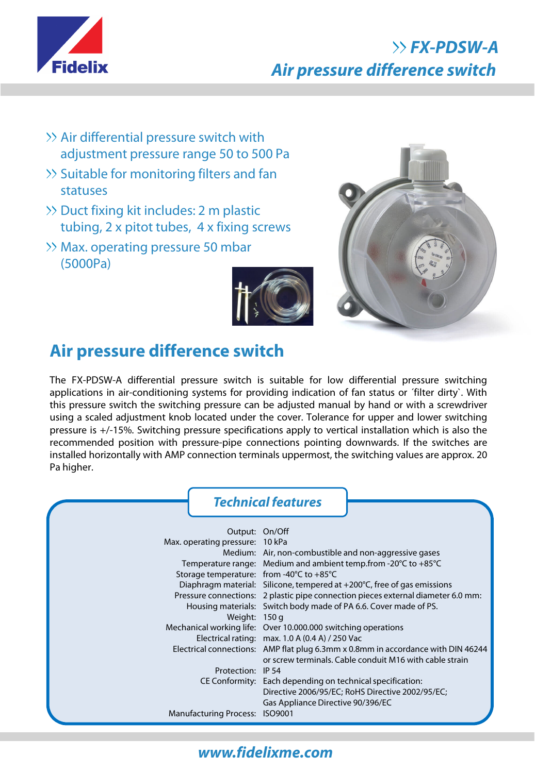

# **FX-PDSW-A Air pressure difference switch**

- Air differential pressure switch with adjustment pressure range 50 to 500 Pa
- $\gg$  Suitable for monitoring filters and fan statuses
- >> Duct fixing kit includes: 2 m plastic tubing, 2 x pitot tubes, 4 x fixing screws
- >> Max. operating pressure 50 mbar (5000Pa)





## **Air pressure difference switch**

The FX-PDSW-A differential pressure switch is suitable for low differential pressure switching applications in air-conditioning systems for providing indication of fan status or ´filter dirty`. With this pressure switch the switching pressure can be adjusted manual by hand or with a screwdriver using a scaled adjustment knob located under the cover. Tolerance for upper and lower switching pressure is +/-15%. Switching pressure specifications apply to vertical installation which is also the recommended position with pressure-pipe connections pointing downwards. If the switches are installed horizontally with AMP connection terminals uppermost, the switching values are approx. 20 Pa higher.

#### **Technical features**

| Output: On/Off                                               |                                                                                   |
|--------------------------------------------------------------|-----------------------------------------------------------------------------------|
|                                                              |                                                                                   |
| Max. operating pressure: 10 kPa                              |                                                                                   |
|                                                              | Medium: Air, non-combustible and non-aggressive gases                             |
|                                                              | Temperature range: Medium and ambient temp.from -20°C to +85°C                    |
| Storage temperature: from -40 $\degree$ C to +85 $\degree$ C |                                                                                   |
|                                                              | Diaphragm material: Silicone, tempered at $+200^{\circ}$ C, free of gas emissions |
|                                                              | Pressure connections: 2 plastic pipe connection pieces external diameter 6.0 mm:  |
|                                                              | Housing materials: Switch body made of PA 6.6. Cover made of PS.                  |
| Weight: 150 g                                                |                                                                                   |
|                                                              | Mechanical working life: Over 10.000.000 switching operations                     |
|                                                              | Electrical rating: max. $1.0 A (0.4 A) / 250 Vac$                                 |
|                                                              | Electrical connections: AMP flat plug 6.3mm x 0.8mm in accordance with DIN 46244  |
|                                                              | or screw terminals. Cable conduit M16 with cable strain                           |
| Protection: IP 54                                            |                                                                                   |
|                                                              | CE Conformity: Each depending on technical specification:                         |
|                                                              | Directive 2006/95/EC; RoHS Directive 2002/95/EC;                                  |
|                                                              | Gas Appliance Directive 90/396/EC                                                 |
| <b>Manufacturing Process: ISO9001</b>                        |                                                                                   |

## **www.fidelixme.com**